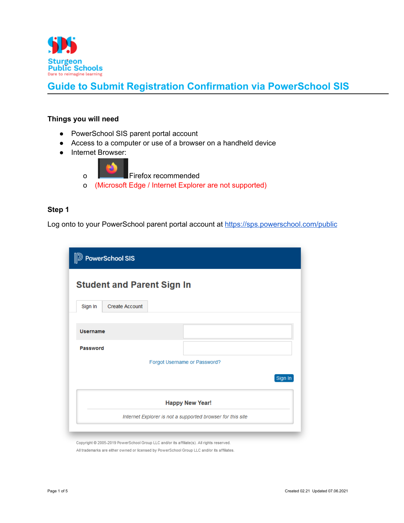

### **Things you will need**

- **●** PowerSchool SIS parent portal account
- Access to a computer or use of a browser on a handheld device
- Internet Browser:
	- o Firefox recommended o (Microsoft Edge / Internet Explorer are not supported)

### **Step 1**

Log onto to your PowerSchool parent portal account at <https://sps.powerschool.com/public>

| <b>D</b> PowerSchool SIS                                   |                                   |  |                              |         |  |  |  |
|------------------------------------------------------------|-----------------------------------|--|------------------------------|---------|--|--|--|
|                                                            | <b>Student and Parent Sign In</b> |  |                              |         |  |  |  |
| Sign In                                                    | <b>Create Account</b>             |  |                              |         |  |  |  |
| <b>Username</b>                                            |                                   |  |                              |         |  |  |  |
| <b>Password</b>                                            |                                   |  |                              |         |  |  |  |
|                                                            |                                   |  | Forgot Username or Password? |         |  |  |  |
|                                                            |                                   |  |                              | Sign In |  |  |  |
| <b>Happy New Year!</b>                                     |                                   |  |                              |         |  |  |  |
| Internet Explorer is not a supported browser for this site |                                   |  |                              |         |  |  |  |

Copyright All trademarks are either owned or licensed by PowerSchool Group LLC and/or its affiliates.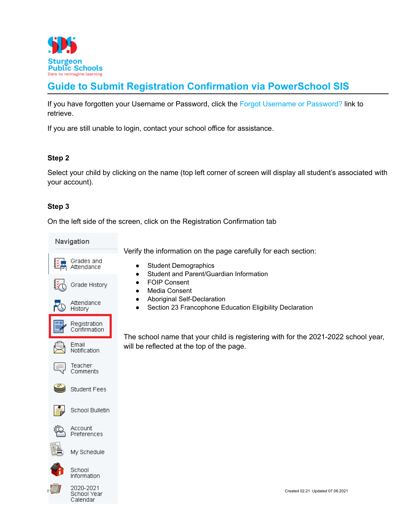

If you have forgotten your Username or Password, click the Forgot Username or Password? link to retrieve.

If you are still unable to login, contact your school office for assistance.

## **Step 2**

Select your child by clicking on the name (top left corner of screen will display all student's associated with your account).

## **Step 3**

On the left side of the screen, click on the Registration Confirmation tab

Navigation

Verify the information on the page carefully for each section:

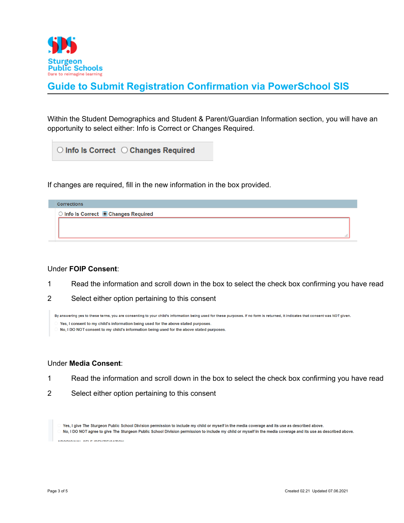

Within the Student Demographics and Student & Parent/Guardian Information section, you will have an opportunity to select either: Info is Correct or Changes Required.

 $\bigcirc$  Info Is Correct  $\bigcirc$  Changes Required

If changes are required, fill in the new information in the box provided.

| <b>Corrections</b>                   |  |
|--------------------------------------|--|
| ○ Info Is Correct ■ Changes Required |  |
|                                      |  |
|                                      |  |
|                                      |  |

### Under **FOIP Consent**:

- 1 Read the information and scroll down in the box to select the check box confirming you have read
- 2 Select either option pertaining to this consent

By answering yes to these terms, you are consenting to your child's information being used for these purposes. If no form is returned, it indicates that consent was NOT given.

```
Yes. I consent to my child's information being used for the above stated purposes.
```
No, I DO NOT consent to my child's information being used for the above stated purposes.

### Under **Media Consent**:

- 1 Read the information and scroll down in the box to select the check box confirming you have read
- 2 Select either option pertaining to this consent

Yes, I give The Sturgeon Public School Division permission to include my child or myself in the media coverage and its use as described above.

No, I DO NOT agree to give The Sturgeon Public School Division permission to include my child or myself in the media coverage and its use as described above. ABOBIOINAL AFLE INFUTIFICATION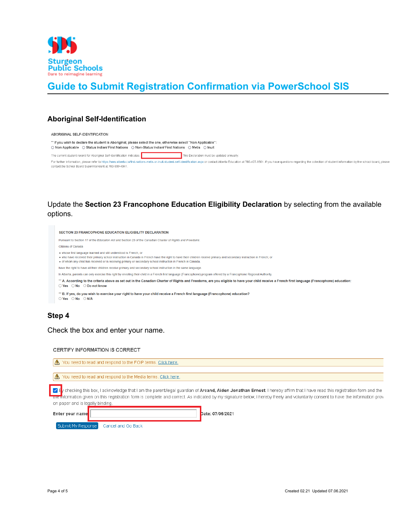

## **Aboriginal Self-Identification**

ABORIGINAL SELF-IDENTIFICATION

\*\* If you wish to declare the student is Aboriginal, please select the one, otherwise select "Non Applicable": ○ Non Applicable ○ Status Indian/ First Nations ○ Non-Status Indian/ First Nations ○ Metis ○ Inuit

The current student record for Aboriginal Self-Identification indicates: This Declaration must be updated annually.

For further information, please refer to https://www.alberta.ca/first-nations-metis-or-inuit-student-self-identification.aspx or contact Alberta Education at 780-427-8501. If you have questions regarding the collection of contact the School Board Superintendent at 780-939-4341.

## Update the **Section 23 Francophone Education Eligibility Declaration** by selecting from the available options.

| <b>SECTION 23 FRANCOPHONE EDUCATION ELIGIBILITY DECLARATION</b>                                                                                                                                                                                                                                                                                              |  |  |  |
|--------------------------------------------------------------------------------------------------------------------------------------------------------------------------------------------------------------------------------------------------------------------------------------------------------------------------------------------------------------|--|--|--|
| Pursuant to Section 17 of the Education Act and Section 23 of the Canadian Charter of Rights and Freedoms:                                                                                                                                                                                                                                                   |  |  |  |
| Citizens of Canada                                                                                                                                                                                                                                                                                                                                           |  |  |  |
| . whose first language learned and still understood is French, or<br>. who have received their primary school instruction in Canada in French have the right to have their children receive primary and secondary instruction in French; or<br>• of whom any child has received or is receiving primary or secondary school instruction in French in Canada. |  |  |  |
| have the right to have all their children receive primary and secondary school instruction in the same language.                                                                                                                                                                                                                                             |  |  |  |
| In Alberta, parents can only exercise this right by enrolling their child in a French first language (Francophone) program offered by a Francophone Regional Authority.                                                                                                                                                                                      |  |  |  |
| ** A. According to the criteria above as set out in the Canadian Charter of Rights and Freedoms, are you eligible to have your child receive a French first language (Francophone) education:<br>$\bigcirc$ Yes $\bigcirc$ No $\bigcirc$ Do not know                                                                                                         |  |  |  |
| ** B. If yes, do you wish to exercise your right to have your child receive a French first language (Francophone) education?<br>$\bigcirc$ Yes $\bigcirc$ No $\bigcirc$ N/A                                                                                                                                                                                  |  |  |  |

### **Step 4**

Check the box and enter your name.

Cancel and Go Back

CERTIFY INFORMATION IS CORRECT

| You need to read and respond to the FOIP terms. Click here,<br>$\mathbb{A}$                                                                                                                                                                                                                                                                                                                                |                  |  |  |  |  |
|------------------------------------------------------------------------------------------------------------------------------------------------------------------------------------------------------------------------------------------------------------------------------------------------------------------------------------------------------------------------------------------------------------|------------------|--|--|--|--|
| $\Lambda$ You need to read and respond to the Media terms. Click here.                                                                                                                                                                                                                                                                                                                                     |                  |  |  |  |  |
| y checking this box, I acknowledge that I am the parent/legal guardian of <b>Arcand, Aiden Jonathan Ernest</b> . I hereby affirm that I have read this registration form and the<br>Fure information given on this registration form is complete and correct. As indicated by my signature below, I hereby freely and voluntarily consent to have the information prov<br>on paper and is legally binding. |                  |  |  |  |  |
| Enter your name                                                                                                                                                                                                                                                                                                                                                                                            | Date: 07/06/2021 |  |  |  |  |

Submit My Response